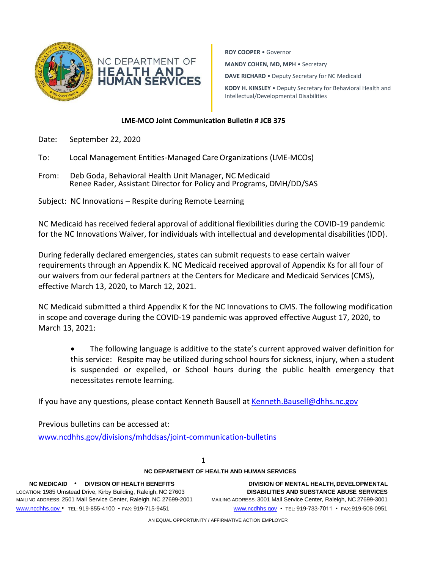

**ROY COOPER** • Governor **MANDY COHEN, MD, MPH** • Secretary **DAVE RICHARD** • Deputy Secretary for NC Medicaid **KODY H. KINSLEY** • Deputy Secretary for Behavioral Health and Intellectual/Developmental Disabilities

## **LME-MCO Joint Communication Bulletin # JCB 375**

- Date: September 22, 2020
- To: Local Management Entities-Managed CareOrganizations (LME-MCOs)
- From: Deb Goda, Behavioral Health Unit Manager, NC Medicaid Renee Rader, Assistant Director for Policy and Programs, DMH/DD/SAS
- Subject: NC Innovations Respite during Remote Learning

NC Medicaid has received federal approval of additional flexibilities during the COVID-19 pandemic for the NC Innovations Waiver, for individuals with intellectual and developmental disabilities (IDD).

During federally declared emergencies, states can submit requests to ease certain waiver requirements through an Appendix K. NC Medicaid received approval of Appendix Ks for all four of our waivers from our federal partners at the Centers for Medicare and Medicaid Services (CMS), effective March 13, 2020, to March 12, 2021.

NC Medicaid submitted a third Appendix K for the NC Innovations to CMS. The following modification in scope and coverage during the COVID-19 pandemic was approved effective August 17, 2020, to March 13, 2021:

• The following language is additive to the state's current approved waiver definition for this service: Respite may be utilized during school hours for sickness, injury, when a student is suspended or expelled, or School hours during the public health emergency that necessitates remote learning.

If you have any questions, please contact Kenneth Bausell at [Kenneth.Bausell@dhhs.nc.gov](mailto:Kenneth.Bausell@dhhs.nc.gov)

Previous bulletins can be accessed at: [www.ncdhhs.gov/divisions/mhddsas/joint-communication-bulletins](http://www.ncdhhs.gov/divisions/mhddsas/joint-communication-bulletins)

1

## **NC DEPARTMENT OF HEALTH AND HUMAN SERVICES**

[www.ncdhhs.gov](http://www.ncdhhs.gov/) • TEL: 919-855-4100 • FAX: 919-715-9451 [www.ncdhhs.gov](http://www.ncdhhs.gov/) • TEL: 919-733-7011 • FAX:919-508-0951

**NC MEDICAID** • **DIVISION OF HEALTH BENEFITS DIVISION OF MENTAL HEALTH, DEVELOPMENTAL** LOCATION: 1985 Umstead Drive, Kirby Building, Raleigh, NC 27603 **DISABILITIES AND SUBSTANCE ABUSE SERVICES** MAILING ADDRESS: 2501 Mail Service Center, Raleigh, NC 27699-2001 MAILING ADDRESS: 3001 Mail Service Center, Raleigh, NC 27699-3001

AN EQUAL OPPORTUNITY / AFFIRMATIVE ACTION EMPLOYER